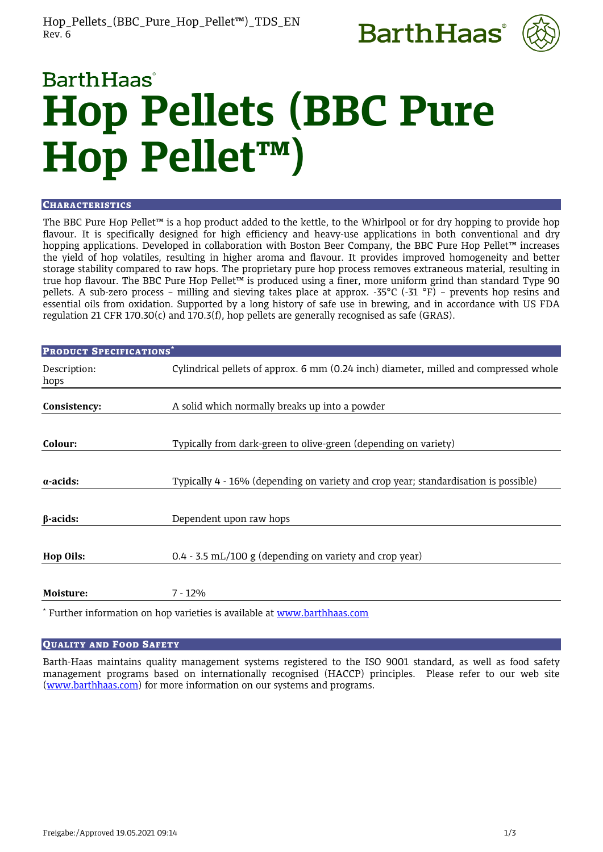



# **BarthHaas Hop Pellets (BBC Pure Hop Pellet™)**

## **CHARACTERISTICS**

The BBC Pure Hop Pellet™ is a hop product added to the kettle, to the Whirlpool or for dry hopping to provide hop flavour. It is specifically designed for high efficiency and heavy-use applications in both conventional and dry hopping applications. Developed in collaboration with Boston Beer Company, the BBC Pure Hop Pellet™ increases the yield of hop volatiles, resulting in higher aroma and flavour. It provides improved homogeneity and better storage stability compared to raw hops. The proprietary pure hop process removes extraneous material, resulting in true hop flavour. The BBC Pure Hop Pellet™ is produced using a finer, more uniform grind than standard Type 90 pellets. A sub-zero process – milling and sieving takes place at approx. -35°C (-31 °F) – prevents hop resins and essential oils from oxidation. Supported by a long history of safe use in brewing, and in accordance with US FDA regulation 21 CFR 170.30(c) and 170.3(f), hop pellets are generally recognised as safe (GRAS).

| <b>PRODUCT SPECIFICATIONS*</b> |                                                                                       |  |
|--------------------------------|---------------------------------------------------------------------------------------|--|
| Description:<br>hops           | Cylindrical pellets of approx. 6 mm (0.24 inch) diameter, milled and compressed whole |  |
| Consistency:                   | A solid which normally breaks up into a powder                                        |  |
| Colour:                        | Typically from dark-green to olive-green (depending on variety)                       |  |
| $\alpha$ -acids:               | Typically 4 - 16% (depending on variety and crop year; standardisation is possible)   |  |
| $\beta$ -acids:                | Dependent upon raw hops                                                               |  |
| <b>Hop Oils:</b>               | $0.4 - 3.5$ mL/100 g (depending on variety and crop year)                             |  |
| Moisture:                      | $7 - 12%$                                                                             |  |

\* Further information on hop varieties is available at [www.barthhaas.com](http://www.barthhaas.com/)

## QUALITY AND FOOD SAFETY

Barth-Haas maintains quality management systems registered to the ISO 9001 standard, as well as food safety management programs based on internationally recognised (HACCP) principles. Please refer to our web site [\(www.barthhaas.com\)](http://www.barthhaas.com/) for more information on our systems and programs.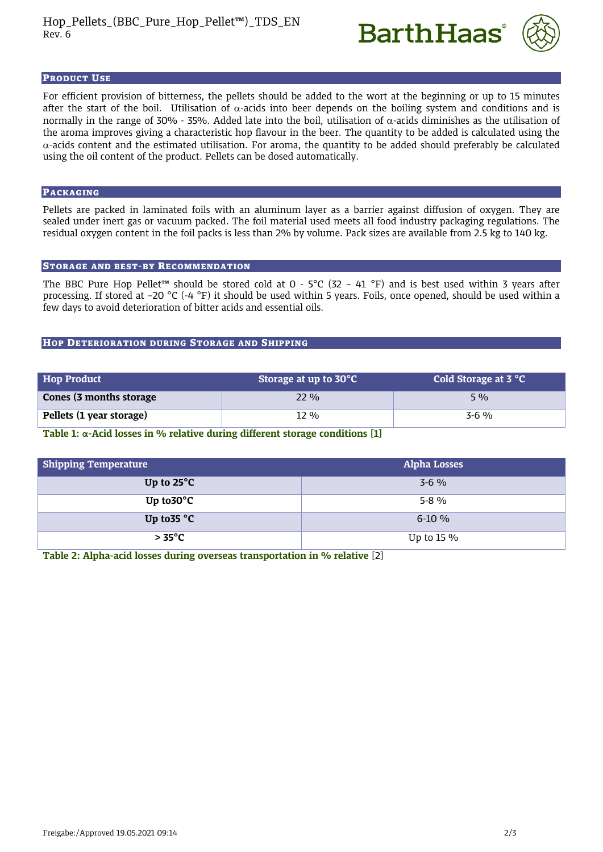



#### PRODUCT USE

For efficient provision of bitterness, the pellets should be added to the wort at the beginning or up to 15 minutes after the start of the boil. Utilisation of  $\alpha$ -acids into beer depends on the boiling system and conditions and is normally in the range of 30% - 35%. Added late into the boil, utilisation of  $\alpha$ -acids diminishes as the utilisation of the aroma improves giving a characteristic hop flavour in the beer. The quantity to be added is calculated using the  $\alpha$ -acids content and the estimated utilisation. For aroma, the quantity to be added should preferably be calculated using the oil content of the product. Pellets can be dosed automatically.

#### PACKAGING

Pellets are packed in laminated foils with an aluminum layer as a barrier against diffusion of oxygen. They are sealed under inert gas or vacuum packed. The foil material used meets all food industry packaging regulations. The residual oxygen content in the foil packs is less than 2% by volume. Pack sizes are available from 2.5 kg to 140 kg.

## STORAGE AND BEST-BY RECOMMENDATION

The BBC Pure Hop Pellet™ should be stored cold at 0 - 5°C (32 – 41 °F) and is best used within 3 years after processing. If stored at –20 °C (-4 °F) it should be used within 5 years. Foils, once opened, should be used within a few days to avoid deterioration of bitter acids and essential oils.

## HOP DETERIORATION DURING STORAGE AND SHIPPING

| <b>Hop Product</b>       | Storage at up to 30°C | Cold Storage at 3 °C |
|--------------------------|-----------------------|----------------------|
| Cones (3 months storage  | $22\%$                | $5\%$                |
| Pellets (1 year storage) | 12 %                  | $3-6\%$              |

**Table 1: α-Acid losses in % relative during different storage conditions [1]**

| <b>Shipping Temperature</b> | <b>Alpha Losses</b> |
|-----------------------------|---------------------|
| Up to $25^{\circ}$ C        | $3-6\%$             |
| Up to $30^{\circ}$ C        | $5-8\%$             |
| Up to $35^{\circ}$ C        | $6-10\%$            |
| > 35°C                      | Up to 15 $\%$       |

**Table 2: Alpha-acid losses during overseas transportation in % relative** [2]